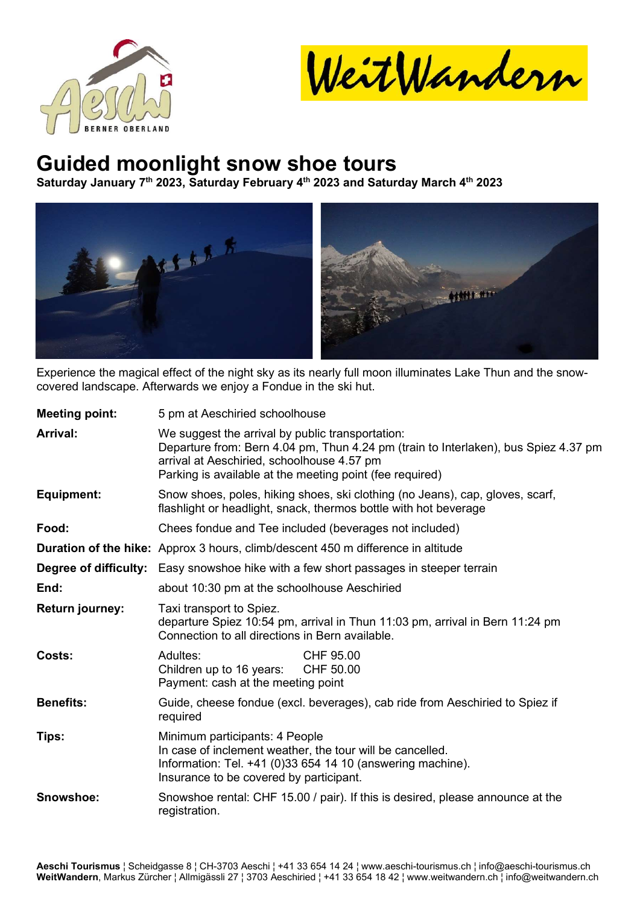

WeitWandern

## Guided moonlight snow shoe tours

Saturday January 7<sup>th</sup> 2023, Saturday February 4<sup>th</sup> 2023 and Saturday March 4<sup>th</sup> 2023



Experience the magical effect of the night sky as its nearly full moon illuminates Lake Thun and the snowcovered landscape. Afterwards we enjoy a Fondue in the ski hut.

| <b>Meeting point:</b>  | 5 pm at Aeschiried schoolhouse                                                                                                                                                                                                                    |  |  |  |
|------------------------|---------------------------------------------------------------------------------------------------------------------------------------------------------------------------------------------------------------------------------------------------|--|--|--|
| <b>Arrival:</b>        | We suggest the arrival by public transportation:<br>Departure from: Bern 4.04 pm, Thun 4.24 pm (train to Interlaken), bus Spiez 4.37 pm<br>arrival at Aeschiried, schoolhouse 4.57 pm<br>Parking is available at the meeting point (fee required) |  |  |  |
| <b>Equipment:</b>      | Snow shoes, poles, hiking shoes, ski clothing (no Jeans), cap, gloves, scarf,<br>flashlight or headlight, snack, thermos bottle with hot beverage                                                                                                 |  |  |  |
| Food:                  | Chees fondue and Tee included (beverages not included)                                                                                                                                                                                            |  |  |  |
|                        | <b>Duration of the hike:</b> Approx 3 hours, climb/descent 450 m difference in altitude                                                                                                                                                           |  |  |  |
|                        | <b>Degree of difficulty:</b> Easy snowshoe hike with a few short passages in steeper terrain                                                                                                                                                      |  |  |  |
| End:                   | about 10:30 pm at the schoolhouse Aeschiried                                                                                                                                                                                                      |  |  |  |
| <b>Return journey:</b> | Taxi transport to Spiez.<br>departure Spiez 10:54 pm, arrival in Thun 11:03 pm, arrival in Bern 11:24 pm<br>Connection to all directions in Bern available.                                                                                       |  |  |  |
| Costs:                 | Adultes:<br>CHF 95.00<br>Children up to 16 years:<br>CHF 50.00<br>Payment: cash at the meeting point                                                                                                                                              |  |  |  |
| <b>Benefits:</b>       | Guide, cheese fondue (excl. beverages), cab ride from Aeschiried to Spiez if<br>required                                                                                                                                                          |  |  |  |
| Tips:                  | Minimum participants: 4 People<br>In case of inclement weather, the tour will be cancelled.<br>Information: Tel. +41 (0)33 654 14 10 (answering machine).<br>Insurance to be covered by participant.                                              |  |  |  |
| Snowshoe:              | Snowshoe rental: CHF 15.00 / pair). If this is desired, please announce at the<br>registration.                                                                                                                                                   |  |  |  |